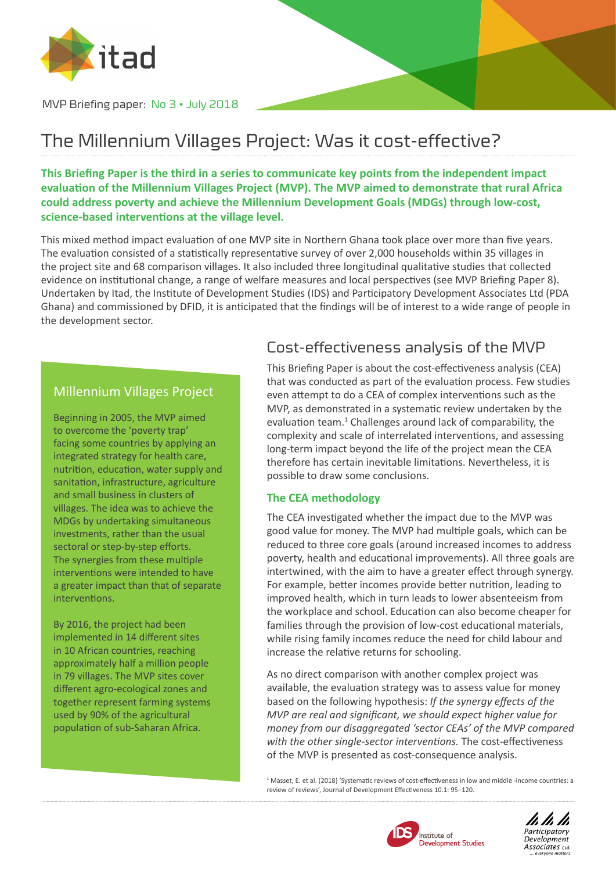

MVP Briefing paper: No 3 • July 2018

# The Millennium Villages Project: Was it cost-effective?

**This Briefing Paper is the third in a series to communicate key points from the independent impact evaluation of the Millennium Villages Project (MVP). The MVP aimed to demonstrate that rural Africa could address poverty and achieve the Millennium Development Goals (MDGs) through low-cost, science-based interventions at the village level.** 

This mixed method impact evaluation of one MVP site in Northern Ghana took place over more than five years. The evaluation consisted of a statistically representative survey of over 2,000 households within 35 villages in the project site and 68 comparison villages. It also included three longitudinal qualitative studies that collected evidence on institutional change, a range of welfare measures and local perspectives (see MVP Briefing Paper 8). Undertaken by Itad, the Institute of Development Studies (IDS) and Participatory Development Associates Ltd (PDA Ghana) and commissioned by DFID, it is anticipated that the findings will be of interest to a wide range of people in the development sector.

### Millennium Villages Project

Beginning in 2005, the MVP aimed to overcome the 'poverty trap' facing some countries by applying an integrated strategy for health care, nutrition, education, water supply and sanitation, infrastructure, agriculture and small business in clusters of villages. The idea was to achieve the MDGs by undertaking simultaneous investments, rather than the usual sectoral or step-by-step efforts. The synergies from these multiple interventions were intended to have a greater impact than that of separate interventions.

By 2016, the project had been implemented in 14 different sites in 10 African countries, reaching approximately half a million people in 79 villages. The MVP sites cover different agro-ecological zones and together represent farming systems used by 90% of the agricultural population of sub-Saharan Africa.

## Cost-effectiveness analysis of the MVP

This Briefing Paper is about the cost-effectiveness analysis (CEA) that was conducted as part of the evaluation process. Few studies even attempt to do a CEA of complex interventions such as the MVP, as demonstrated in a systematic review undertaken by the evaluation team.<sup>1</sup> Challenges around lack of comparability, the complexity and scale of interrelated interventions, and assessing long-term impact beyond the life of the project mean the CEA therefore has certain inevitable limitations. Nevertheless, it is possible to draw some conclusions.

#### **The CEA methodology**

The CEA investigated whether the impact due to the MVP was good value for money. The MVP had multiple goals, which can be reduced to three core goals (around increased incomes to address poverty, health and educational improvements). All three goals are intertwined, with the aim to have a greater effect through synergy. For example, better incomes provide better nutrition, leading to improved health, which in turn leads to lower absenteeism from the workplace and school. Education can also become cheaper for families through the provision of low-cost educational materials, while rising family incomes reduce the need for child labour and increase the relative returns for schooling.

As no direct comparison with another complex project was available, the evaluation strategy was to assess value for money based on the following hypothesis: *If the synergy effects of the MVP are real and significant, we should expect higher value for money from our disaggregated 'sector CEAs' of the MVP compared with the other single-sector interventions.* The cost-effectiveness of the MVP is presented as cost-consequence analysis.

<sup>1</sup> Masset, E. et al. (2018) 'Systematic reviews of cost-effectiveness in low and middle -income countries: a review of reviews', Journal of Development Effectiveness 10.1: 95–120.